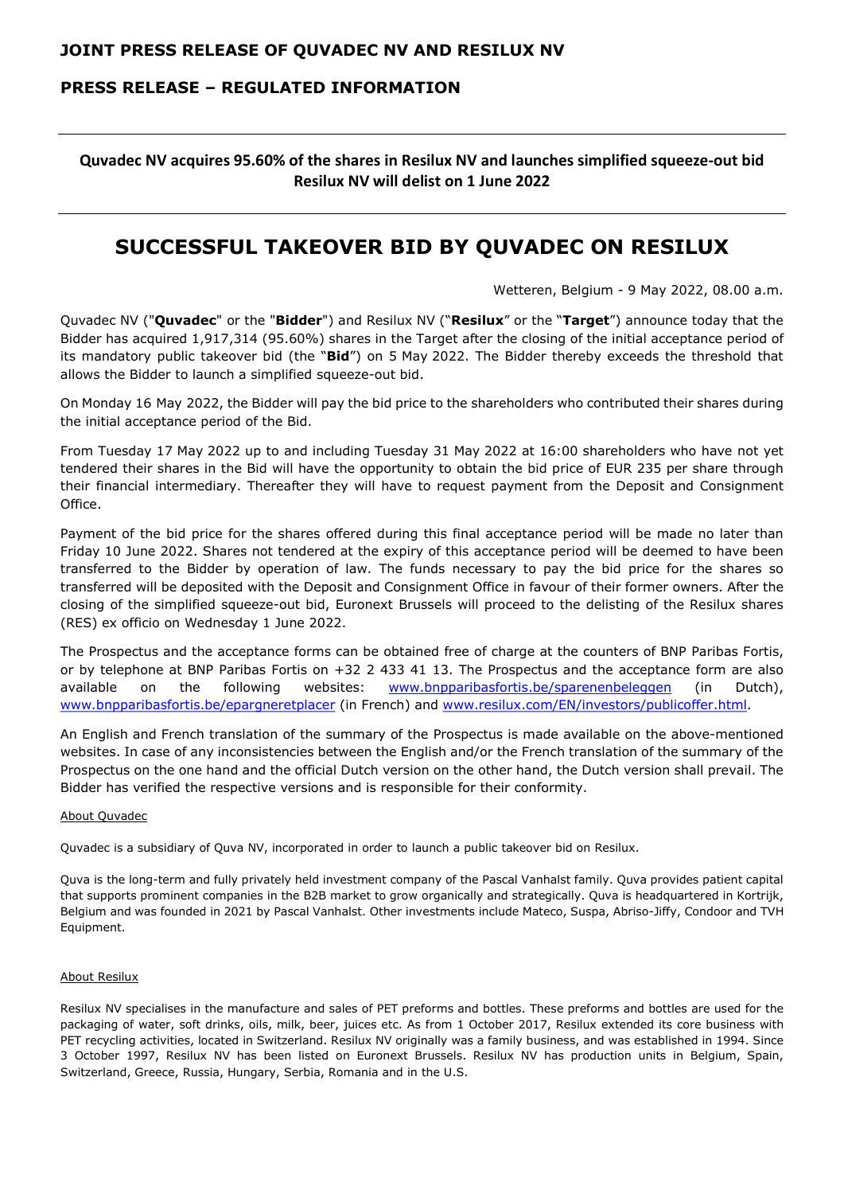### PRESS RELEASE – REGULATED INFORMATION

## Quvadec NV acquires 95.60% of the shares in Resilux NV and launches simplified squeeze-out bid Resilux NV will delist on 1 June 2022

# SUCCESSFUL TAKEOVER BID BY QUVADEC ON RESILUX

Wetteren, Belgium - 9 May 2022, 08.00 a.m.

Quvadec NV ("Quvadec" or the "Bidder") and Resilux NV ("Resilux" or the "Target") announce today that the Bidder has acquired 1,917,314 (95.60%) shares in the Target after the closing of the initial acceptance period of its mandatory public takeover bid (the "Bid") on 5 May 2022. The Bidder thereby exceeds the threshold that allows the Bidder to launch a simplified squeeze-out bid.

On Monday 16 May 2022, the Bidder will pay the bid price to the shareholders who contributed their shares during the initial acceptance period of the Bid.

From Tuesday 17 May 2022 up to and including Tuesday 31 May 2022 at 16:00 shareholders who have not yet tendered their shares in the Bid will have the opportunity to obtain the bid price of EUR 235 per share through their financial intermediary. Thereafter they will have to request payment from the Deposit and Consignment Office.

Payment of the bid price for the shares offered during this final acceptance period will be made no later than Friday 10 June 2022. Shares not tendered at the expiry of this acceptance period will be deemed to have been transferred to the Bidder by operation of law. The funds necessary to pay the bid price for the shares so transferred will be deposited with the Deposit and Consignment Office in favour of their former owners. After the closing of the simplified squeeze-out bid, Euronext Brussels will proceed to the delisting of the Resilux shares (RES) ex officio on Wednesday 1 June 2022.

The Prospectus and the acceptance forms can be obtained free of charge at the counters of BNP Paribas Fortis, or by telephone at BNP Paribas Fortis on +32 2 433 41 13. The Prospectus and the acceptance form are also available on the following websites: www.bnpparibasfortis.be/sparenenbeleggen (in Dutch), www.bnpparibasfortis.be/epargneretplacer (in French) and www.resilux.com/EN/investors/publicoffer.html.

An English and French translation of the summary of the Prospectus is made available on the above-mentioned websites. In case of any inconsistencies between the English and/or the French translation of the summary of the Prospectus on the one hand and the official Dutch version on the other hand, the Dutch version shall prevail. The Bidder has verified the respective versions and is responsible for their conformity.

#### About Quvadec

Quvadec is a subsidiary of Quva NV, incorporated in order to launch a public takeover bid on Resilux.

Quva is the long-term and fully privately held investment company of the Pascal Vanhalst family. Quva provides patient capital that supports prominent companies in the B2B market to grow organically and strategically. Quva is headquartered in Kortrijk, Belgium and was founded in 2021 by Pascal Vanhalst. Other investments include Mateco, Suspa, Abriso-Jiffy, Condoor and TVH Equipment.

#### About Resilux

Resilux NV specialises in the manufacture and sales of PET preforms and bottles. These preforms and bottles are used for the packaging of water, soft drinks, oils, milk, beer, juices etc. As from 1 October 2017, Resilux extended its core business with PET recycling activities, located in Switzerland. Resilux NV originally was a family business, and was established in 1994. Since 3 October 1997, Resilux NV has been listed on Euronext Brussels. Resilux NV has production units in Belgium, Spain, Switzerland, Greece, Russia, Hungary, Serbia, Romania and in the U.S.